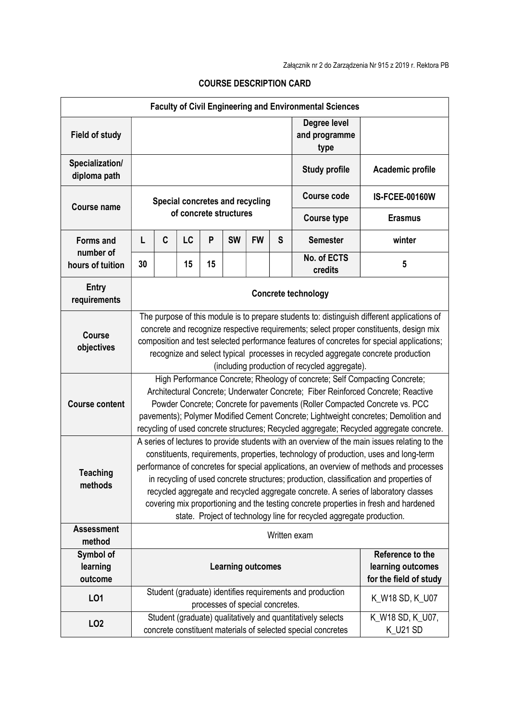| <b>Faculty of Civil Engineering and Environmental Sciences</b> |                                                                                                                                                                                                                                                                                                                                                                                                                                |                                                                                                                                                                                                                                                                                                                                                                                                                                                                                                                                                                                                                                 |                        |    |           |                                 |                                       |                                                                                                                             |                              |  |
|----------------------------------------------------------------|--------------------------------------------------------------------------------------------------------------------------------------------------------------------------------------------------------------------------------------------------------------------------------------------------------------------------------------------------------------------------------------------------------------------------------|---------------------------------------------------------------------------------------------------------------------------------------------------------------------------------------------------------------------------------------------------------------------------------------------------------------------------------------------------------------------------------------------------------------------------------------------------------------------------------------------------------------------------------------------------------------------------------------------------------------------------------|------------------------|----|-----------|---------------------------------|---------------------------------------|-----------------------------------------------------------------------------------------------------------------------------|------------------------------|--|
| <b>Field of study</b>                                          |                                                                                                                                                                                                                                                                                                                                                                                                                                |                                                                                                                                                                                                                                                                                                                                                                                                                                                                                                                                                                                                                                 |                        |    |           |                                 | Degree level<br>and programme<br>type |                                                                                                                             |                              |  |
| Specialization/<br>diploma path                                | <b>Study profile</b><br>Academic profile                                                                                                                                                                                                                                                                                                                                                                                       |                                                                                                                                                                                                                                                                                                                                                                                                                                                                                                                                                                                                                                 |                        |    |           |                                 |                                       |                                                                                                                             |                              |  |
| <b>Course name</b>                                             | Special concretes and recycling                                                                                                                                                                                                                                                                                                                                                                                                |                                                                                                                                                                                                                                                                                                                                                                                                                                                                                                                                                                                                                                 |                        |    |           |                                 |                                       | <b>Course code</b>                                                                                                          | <b>IS-FCEE-00160W</b>        |  |
|                                                                |                                                                                                                                                                                                                                                                                                                                                                                                                                |                                                                                                                                                                                                                                                                                                                                                                                                                                                                                                                                                                                                                                 | of concrete structures |    |           |                                 | <b>Course type</b>                    | <b>Erasmus</b>                                                                                                              |                              |  |
| <b>Forms and</b>                                               | L                                                                                                                                                                                                                                                                                                                                                                                                                              | C                                                                                                                                                                                                                                                                                                                                                                                                                                                                                                                                                                                                                               | LC                     | P  | <b>SW</b> | <b>FW</b>                       | S                                     | <b>Semester</b>                                                                                                             | winter                       |  |
| number of<br>hours of tuition                                  | 30                                                                                                                                                                                                                                                                                                                                                                                                                             |                                                                                                                                                                                                                                                                                                                                                                                                                                                                                                                                                                                                                                 | 15                     | 15 |           |                                 |                                       | No. of ECTS<br>credits                                                                                                      | 5                            |  |
| <b>Entry</b><br>requirements                                   | <b>Concrete technology</b>                                                                                                                                                                                                                                                                                                                                                                                                     |                                                                                                                                                                                                                                                                                                                                                                                                                                                                                                                                                                                                                                 |                        |    |           |                                 |                                       |                                                                                                                             |                              |  |
| <b>Course</b><br>objectives                                    | The purpose of this module is to prepare students to: distinguish different applications of<br>concrete and recognize respective requirements; select proper constituents, design mix<br>composition and test selected performance features of concretes for special applications;<br>recognize and select typical processes in recycled aggregate concrete production<br>(including production of recycled aggregate).        |                                                                                                                                                                                                                                                                                                                                                                                                                                                                                                                                                                                                                                 |                        |    |           |                                 |                                       |                                                                                                                             |                              |  |
| <b>Course content</b>                                          | High Performance Concrete; Rheology of concrete; Self Compacting Concrete;<br>Architectural Concrete; Underwater Concrete; Fiber Reinforced Concrete; Reactive<br>Powder Concrete; Concrete for pavements (Roller Compacted Concrete vs. PCC<br>pavements); Polymer Modified Cement Concrete; Lightweight concretes; Demolition and<br>recycling of used concrete structures; Recycled aggregate; Recycled aggregate concrete. |                                                                                                                                                                                                                                                                                                                                                                                                                                                                                                                                                                                                                                 |                        |    |           |                                 |                                       |                                                                                                                             |                              |  |
| <b>Teaching</b><br>methods                                     |                                                                                                                                                                                                                                                                                                                                                                                                                                | A series of lectures to provide students with an overview of the main issues relating to the<br>constituents, requirements, properties, technology of production, uses and long-term<br>performance of concretes for special applications, an overview of methods and processes<br>in recycling of used concrete structures; production, classification and properties of<br>recycled aggregate and recycled aggregate concrete. A series of laboratory classes<br>covering mix proportioning and the testing concrete properties in fresh and hardened<br>state. Project of technology line for recycled aggregate production. |                        |    |           |                                 |                                       |                                                                                                                             |                              |  |
| <b>Assessment</b><br>method                                    |                                                                                                                                                                                                                                                                                                                                                                                                                                | Written exam                                                                                                                                                                                                                                                                                                                                                                                                                                                                                                                                                                                                                    |                        |    |           |                                 |                                       |                                                                                                                             |                              |  |
| Symbol of<br>learning<br>outcome                               | Reference to the<br>learning outcomes<br><b>Learning outcomes</b><br>for the field of study                                                                                                                                                                                                                                                                                                                                    |                                                                                                                                                                                                                                                                                                                                                                                                                                                                                                                                                                                                                                 |                        |    |           |                                 |                                       |                                                                                                                             |                              |  |
| LO1                                                            |                                                                                                                                                                                                                                                                                                                                                                                                                                |                                                                                                                                                                                                                                                                                                                                                                                                                                                                                                                                                                                                                                 |                        |    |           | processes of special concretes. |                                       | Student (graduate) identifies requirements and production                                                                   | K_W18 SD, K_U07              |  |
| LO <sub>2</sub>                                                |                                                                                                                                                                                                                                                                                                                                                                                                                                |                                                                                                                                                                                                                                                                                                                                                                                                                                                                                                                                                                                                                                 |                        |    |           |                                 |                                       | Student (graduate) qualitatively and quantitatively selects<br>concrete constituent materials of selected special concretes | K_W18 SD, K_U07,<br>K_U21 SD |  |

## COURSE DESCRIPTION CARD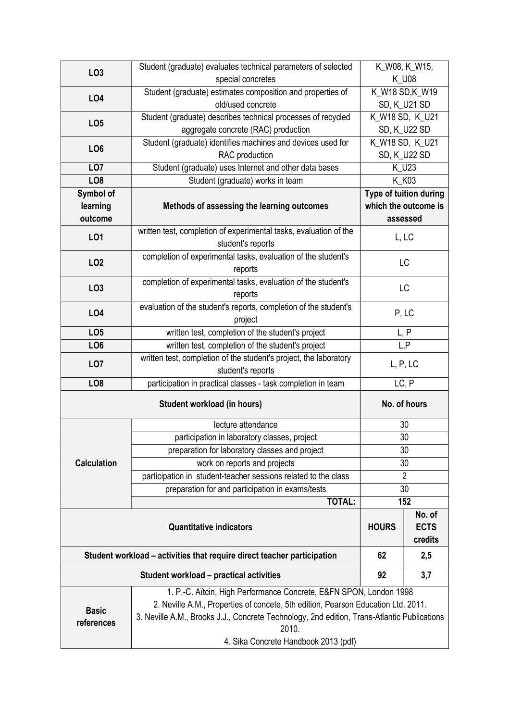|                    | Student (graduate) evaluates technical parameters of selected                               | K_W08, K_W15,                    |                                  |  |  |  |  |  |
|--------------------|---------------------------------------------------------------------------------------------|----------------------------------|----------------------------------|--|--|--|--|--|
| LO <sub>3</sub>    | special concretes                                                                           | <b>K_U08</b>                     |                                  |  |  |  |  |  |
| LO <sub>4</sub>    | Student (graduate) estimates composition and properties of                                  | K_W18 SD,K_W19                   |                                  |  |  |  |  |  |
|                    | old/used concrete                                                                           | SD, K_U21 SD                     |                                  |  |  |  |  |  |
|                    | Student (graduate) describes technical processes of recycled                                | K_W18 SD, K_U21                  |                                  |  |  |  |  |  |
| LO <sub>5</sub>    | aggregate concrete (RAC) production                                                         | SD, K_U22 SD                     |                                  |  |  |  |  |  |
|                    | Student (graduate) identifies machines and devices used for                                 | K_W18 SD, K_U21                  |                                  |  |  |  |  |  |
| LO <sub>6</sub>    | RAC production                                                                              | SD, K_U22 SD                     |                                  |  |  |  |  |  |
| LO <sub>7</sub>    | Student (graduate) uses Internet and other data bases                                       | K_U23                            |                                  |  |  |  |  |  |
| LO <sub>8</sub>    | Student (graduate) works in team                                                            | K K03                            |                                  |  |  |  |  |  |
| Symbol of          |                                                                                             | Type of tuition during           |                                  |  |  |  |  |  |
| learning           | Methods of assessing the learning outcomes                                                  | which the outcome is<br>assessed |                                  |  |  |  |  |  |
| outcome            |                                                                                             |                                  |                                  |  |  |  |  |  |
| LO1                | written test, completion of experimental tasks, evaluation of the                           | L, LC                            |                                  |  |  |  |  |  |
|                    | student's reports                                                                           |                                  |                                  |  |  |  |  |  |
| LO <sub>2</sub>    | completion of experimental tasks, evaluation of the student's                               | LC                               |                                  |  |  |  |  |  |
|                    | reports                                                                                     |                                  |                                  |  |  |  |  |  |
| LO <sub>3</sub>    | completion of experimental tasks, evaluation of the student's                               | LC                               |                                  |  |  |  |  |  |
|                    | reports                                                                                     |                                  |                                  |  |  |  |  |  |
| LO <sub>4</sub>    | evaluation of the student's reports, completion of the student's                            | P, LC                            |                                  |  |  |  |  |  |
|                    | project                                                                                     |                                  |                                  |  |  |  |  |  |
| LO <sub>5</sub>    | written test, completion of the student's project                                           | L, P                             |                                  |  |  |  |  |  |
| LO <sub>6</sub>    | written test, completion of the student's project                                           | L, P                             |                                  |  |  |  |  |  |
| LO <sub>7</sub>    | written test, completion of the student's project, the laboratory                           | L, P, LC                         |                                  |  |  |  |  |  |
|                    | student's reports                                                                           |                                  |                                  |  |  |  |  |  |
| LO <sub>8</sub>    | participation in practical classes - task completion in team                                | LC, P                            |                                  |  |  |  |  |  |
|                    | No. of hours                                                                                |                                  |                                  |  |  |  |  |  |
|                    | lecture attendance                                                                          | 30                               |                                  |  |  |  |  |  |
| <b>Calculation</b> | participation in laboratory classes, project                                                | 30                               |                                  |  |  |  |  |  |
|                    | preparation for laboratory classes and project                                              | 30                               |                                  |  |  |  |  |  |
|                    | work on reports and projects                                                                | 30                               |                                  |  |  |  |  |  |
|                    | participation in student-teacher sessions related to the class                              | $\overline{2}$                   |                                  |  |  |  |  |  |
|                    | preparation for and participation in exams/tests                                            | 30                               |                                  |  |  |  |  |  |
|                    | <b>TOTAL:</b>                                                                               | 152                              |                                  |  |  |  |  |  |
|                    | <b>Quantitative indicators</b>                                                              | <b>HOURS</b>                     | No. of<br><b>ECTS</b><br>credits |  |  |  |  |  |
|                    | Student workload – activities that require direct teacher participation                     | 62                               | 2,5                              |  |  |  |  |  |
|                    | <b>Student workload - practical activities</b>                                              | 92                               | 3,7                              |  |  |  |  |  |
|                    | 1. P.-C. Aïtcin, High Performance Concrete, E&FN SPON, London 1998                          |                                  |                                  |  |  |  |  |  |
|                    | 2. Neville A.M., Properties of concete, 5th edition, Pearson Education Ltd. 2011.           |                                  |                                  |  |  |  |  |  |
| <b>Basic</b>       | 3. Neville A.M., Brooks J.J., Concrete Technology, 2nd edition, Trans-Atlantic Publications |                                  |                                  |  |  |  |  |  |
| references         | 2010.                                                                                       |                                  |                                  |  |  |  |  |  |
|                    | 4. Sika Concrete Handbook 2013 (pdf)                                                        |                                  |                                  |  |  |  |  |  |